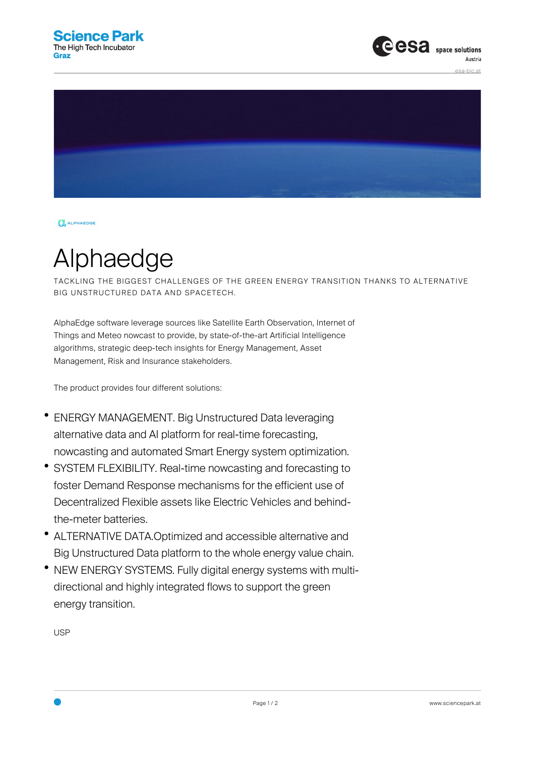



**OL** ALPHAEDGE

## Alphaedge

TACKLING THE BIGGEST CHALLENGES OF THE GREEN ENERGY TRANSITION THANKS TO ALTERNATIVE BIG UNSTRUCTURED DATA AND SPACETECH.

AlphaEdge software leverage sources like Satellite Earth Observation, Internet of Things and Meteo nowcast to provide, by state-of-the-art Artificial Intelligence algorithms, strategic deep-tech insights for Energy Management, Asset Management, Risk and Insurance stakeholders.

The product provides four different solutions:

- ENERGY MANAGEMENT. Big Unstructured Data leveraging alternative data and AI platform for real-time forecasting, nowcasting and automated Smart Energy system optimization.
- SYSTEM FLEXIBILITY. Real-time nowcasting and forecasting to foster Demand Response mechanisms for the efficient use of Decentralized Flexible assets like Electric Vehicles and behindthe-meter batteries.
- ALTERNATIVE DATA.Optimized and accessible alternative and Big Unstructured Data platform to the whole energy value chain.
- NEW ENERGY SYSTEMS. Fully digital energy systems with multidirectional and highly integrated flows to support the green energy transition.

USP